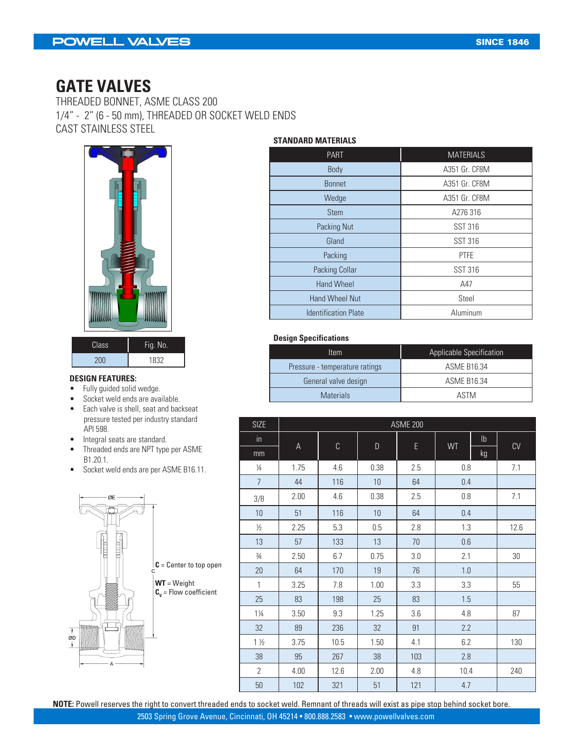### POWELL VALVES

### **GATE VALVES**

THREADED BONNET, ASME CLASS 200 1/4" - 2" (6 - 50 mm), THREADED OR SOCKET WELD ENDS CAST STAINLESS STEEL



| Class      | Fig. No. |  |  |
|------------|----------|--|--|
| <b>AUU</b> | 1832     |  |  |

#### **DESIGN FEATURES:**

- Fully guided solid wedge.
- Socket weld ends are available.
- Each valve is shell, seat and backseat pressure tested per industry standard API 598.
- Integral seats are standard.
- Threaded ends are NPT type per ASME B1.20.1.
- Socket weld ends are per ASME B16.11.



#### **STANDARD MATERIALS**

| <b>MATERIALS</b> |
|------------------|
| A351 Gr. CF8M    |
| A351 Gr. CF8M    |
| A351 Gr. CF8M    |
| A276 316         |
| <b>SST 316</b>   |
| <b>SST 316</b>   |
| <b>PTFE</b>      |
| <b>SST 316</b>   |
| A47              |
| Steel            |
| Aluminum         |
|                  |

#### **Design Specifications**

| ltem                           | Applicable Specification |
|--------------------------------|--------------------------|
| Pressure - temperature ratings | ASME B16.34              |
| General valve design           | <b>ASME B16.34</b>       |
| <b>Materials</b>               | ASTM                     |

| <b>SIZE</b>    | <b>ASME 200</b> |      |             |     |         |            |            |
|----------------|-----------------|------|-------------|-----|---------|------------|------------|
| in             |                 |      |             |     |         | ${\sf lb}$ | ${\rm CV}$ |
| mm             | A               | C    | $\mathsf D$ | E   | WT      | kg         |            |
| 1/4            | 1.75            | 4.6  | 0.38        | 2.5 | 0.8     |            | 7.1        |
| $\overline{7}$ | 44              | 116  | 10          | 64  | 0.4     |            |            |
| 3/8            | 2.00            | 4.6  | 0.38        | 2.5 | 0.8     |            | 7.1        |
| 10             | 51              | 116  | $10$        | 64  | 0.4     |            |            |
| $\frac{1}{2}$  | 2.25            | 5.3  | 0.5         | 2.8 | 1.3     |            | 12.6       |
| 13             | 57              | 133  | 13          | 70  | $0.6\,$ |            |            |
| $\frac{3}{4}$  | 2.50            | 6.7  | 0.75        | 3.0 | 2.1     |            | 30         |
| 20             | 64              | 170  | 19          | 76  | 1.0     |            |            |
| $\mathbf{1}$   | 3.25            | 7.8  | 1.00        | 3.3 | 3.3     |            | 55         |
| 25             | 83              | 198  | 25          | 83  | 1.5     |            |            |
| $1\frac{1}{4}$ | 3.50            | 9.3  | 1.25        | 3.6 | 4.8     |            | 87         |
| 32             | 89              | 236  | 32          | 91  | 2.2     |            |            |
| $1\frac{1}{2}$ | 3.75            | 10.5 | 1.50        | 4.1 | 6.2     |            | 130        |
| 38             | 95              | 267  | 38          | 103 | 2.8     |            |            |
| $\overline{2}$ | 4.00            | 12.6 | 2.00        | 4.8 | 10.4    |            | 240        |
| 50             | 102             | 321  | 51          | 121 | 4.7     |            |            |

**NOTE:** Powell reserves the right to convert threaded ends to socket weld. Remnant of threads will exist as pipe stop behind socket bore.

2503 Spring Grove Avenue, Cincinnati, OH 45214 • 800.888.2583 • www.powellvalves.com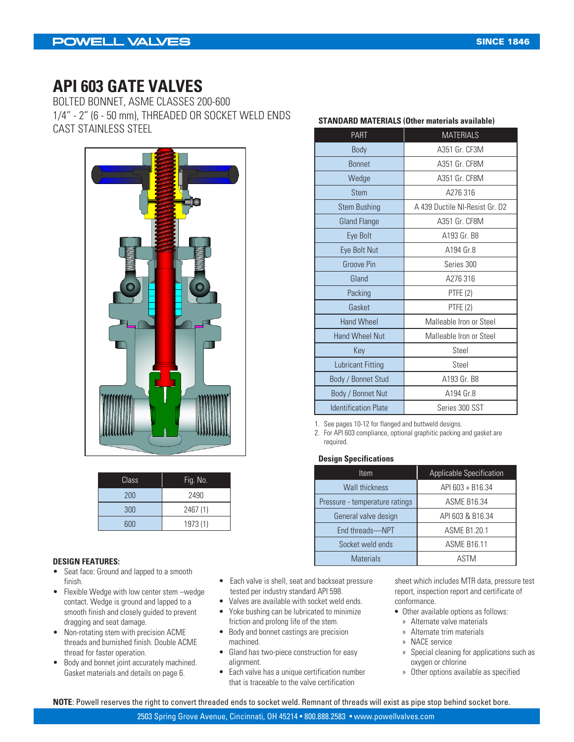### **API 603 GATE VALVES**

BOLTED BONNET, ASME CLASSES 200-600 1/4" - 2" (6 - 50 mm), THREADED OR SOCKET WELD ENDS CAST STAINLESS STEEL



| Class | Fig. No. |
|-------|----------|
| 200   | 2490     |
| 300   | 2467 (1) |
| 600   | 1973 (1) |

#### **DESIGN FEATURES:**

- Seat face: Ground and lapped to a smooth finish.
- Flexible Wedge with low center stem –wedge contact. Wedge is ground and lapped to a smooth finish and closely guided to prevent dragging and seat damage.
- Non-rotating stem with precision ACME threads and burnished finish. Double ACME thread for faster operation.
- Body and bonnet joint accurately machined. Gasket materials and details on page 6.
- Each valve is shell, seat and backseat pressure tested per industry standard API 598.
- Valves are available with socket weld ends.
- Yoke bushing can be lubricated to minimize friction and prolong life of the stem.
- Body and bonnet castings are precision machined.
- Gland has two-piece construction for easy alignment.
- Each valve has a unique certification number that is traceable to the valve certification

| <b>PART</b>                 | <b>MATERIALS</b>               |
|-----------------------------|--------------------------------|
| Body                        | A351 Gr. CF3M                  |
| <b>Bonnet</b>               | A351 Gr. CF8M                  |
| Wedge                       | A351 Gr. CF8M                  |
| <b>Stem</b>                 | A276 316                       |
| <b>Stem Bushing</b>         | A 439 Ductile NI-Resist Gr. D2 |
| <b>Gland Flange</b>         | A351 Gr. CF8M                  |
| Eye Bolt                    | A193 Gr. B8                    |
| Eye Bolt Nut                | A194 Gr.8                      |
| Groove Pin                  | Series 300                     |
| Gland                       | A276 316                       |
| Packing                     | PTFE (2)                       |
| Gasket                      | PTFE (2)                       |
| <b>Hand Wheel</b>           | Malleable Iron or Steel        |
| <b>Hand Wheel Nut</b>       | Malleable Iron or Steel        |
| Key                         | Steel                          |
| <b>Lubricant Fitting</b>    | Steel                          |
| Body / Bonnet Stud          | A193 Gr. B8                    |
| Body / Bonnet Nut           | A194 Gr.8                      |
| <b>Identification Plate</b> | Series 300 SST                 |

**STANDARD MATERIALS (Other materials available)**

1. See pages 10-12 for flanged and buttweld designs.

2. For API 603 compliance, optional graphitic packing and gasket are required.

#### **Design Specifications**

| Item                           | <b>Applicable Specification</b> |
|--------------------------------|---------------------------------|
| <b>Wall thickness</b>          | API 603 + B16.34                |
| Pressure - temperature ratings | <b>ASME B16.34</b>              |
| General valve design           | API 603 & B16.34                |
| End threads-NPT                | <b>ASME B1.20.1</b>             |
| Socket weld ends               | <b>ASME B16.11</b>              |
| <b>Materials</b>               | ASTM                            |

sheet which includes MTR data, pressure test report, inspection report and certificate of conformance.

- Other available options as follows:
	- » Alternate valve materials
	- » Alternate trim materials
	- » NACE service
	- » Special cleaning for applications such as oxygen or chlorine
	- » Other options available as specified

**NOTE**: Powell reserves the right to convert threaded ends to socket weld. Remnant of threads will exist as pipe stop behind socket bore.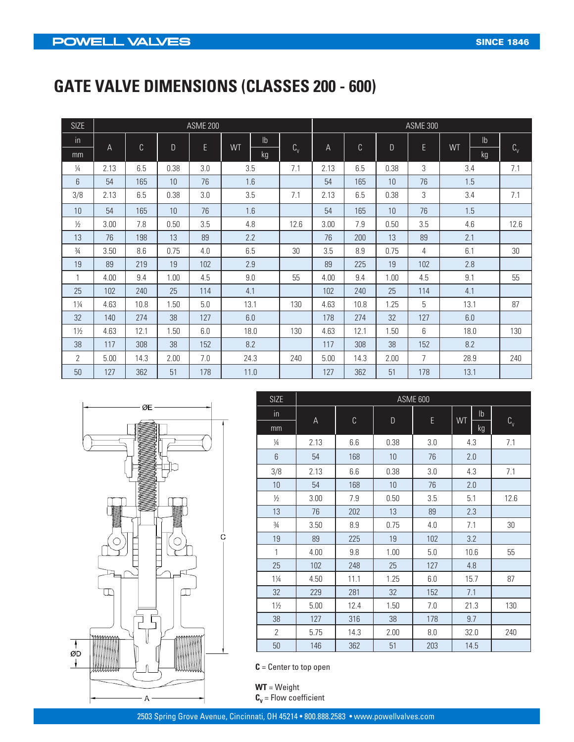# **GATE VALVE DIMENSIONS (CLASSES 200 - 600)**

| <b>SIZE</b>    | <b>ASME 200</b> |      |      |     |               |            |      |             | <b>ASME 300</b> |                |                |             |
|----------------|-----------------|------|------|-----|---------------|------------|------|-------------|-----------------|----------------|----------------|-------------|
| in             |                 | C    | D    | E   | $\mathsf{lb}$ |            |      | $\mathbb C$ | $\mathsf{D}$    |                | I <sub>b</sub> |             |
| mm             | A               |      |      |     | WT<br>kg      | $C_{\vee}$ | A    |             |                 | E              | WT<br>kg       | $C_{\rm v}$ |
| $\frac{1}{4}$  | 2.13            | 6.5  | 0.38 | 3.0 | 3.5           | 7.1        | 2.13 | 6.5         | 0.38            | 3              | 3.4            | 7.1         |
| 6              | 54              | 165  | 10   | 76  | 1.6           |            | 54   | 165         | 10              | 76             | 1.5            |             |
| 3/8            | 2.13            | 6.5  | 0.38 | 3.0 | 3.5           | 7.1        | 2.13 | 6.5         | 0.38            | 3              | 3.4            | 7.1         |
| 10             | 54              | 165  | 10   | 76  | 1.6           |            | 54   | 165         | 10              | 76             | 1.5            |             |
| $\frac{1}{2}$  | 3.00            | 7.8  | 0.50 | 3.5 | 4.8           | 12.6       | 3.00 | 7.9         | 0.50            | 3.5            | 4.6            | 12.6        |
| 13             | 76              | 198  | 13   | 89  | 2.2           |            | 76   | 200         | 13              | 89             | 2.1            |             |
| $\frac{3}{4}$  | 3.50            | 8.6  | 0.75 | 4.0 | 6.5           | 30         | 3.5  | 8.9         | 0.75            | 4              | 6.1            | 30          |
| 19             | 89              | 219  | 19   | 102 | 2.9           |            | 89   | 225         | 19              | 102            | 2.8            |             |
| 1              | 4.00            | 9.4  | 1.00 | 4.5 | 9.0           | 55         | 4.00 | 9.4         | 1.00            | 4.5            | 9.1            | 55          |
| 25             | 102             | 240  | 25   | 114 | 4.1           |            | 102  | 240         | 25              | 114            | 4.1            |             |
| $1\frac{1}{4}$ | 4.63            | 10.8 | 1.50 | 5.0 | 13.1          | 130        | 4.63 | 10.8        | 1.25            | 5              | 13.1           | 87          |
| 32             | 140             | 274  | 38   | 127 | 6.0           |            | 178  | 274         | 32              | 127            | 6.0            |             |
| $1\frac{1}{2}$ | 4.63            | 12.1 | 1.50 | 6.0 | 18.0          | 130        | 4.63 | 12.1        | 1.50            | 6              | 18.0           | 130         |
| 38             | 117             | 308  | 38   | 152 | 8.2           |            | 117  | 308         | 38              | 152            | 8.2            |             |
| 2              | 5.00            | 14.3 | 2.00 | 7.0 | 24.3          | 240        | 5.00 | 14.3        | 2.00            | $\overline{7}$ | 28.9           | 240         |
| 50             | 127             | 362  | 51   | 178 | 11.0          |            | 127  | 362         | 51              | 178            | 13.1           |             |



| <b>SIZE</b>    | ASME 600 |              |                                         |         |                     |                     |
|----------------|----------|--------------|-----------------------------------------|---------|---------------------|---------------------|
| $\mathsf{in}$  |          | $\mathbb{C}$ |                                         |         | $\mathsf{lb}$<br>WT |                     |
| mm             | A        |              | $\begin{array}{c} \text{D} \end{array}$ | E       | kg                  | $\text{C}_\text{v}$ |
| $\frac{1}{4}$  | 2.13     | 6.6          | 0.38                                    | 3.0     | 4.3                 | 7.1                 |
| 6              | 54       | 168          | 10                                      | 76      | 2.0                 |                     |
| 3/8            | 2.13     | 6.6          | 0.38                                    | 3.0     | 4.3                 | 7.1                 |
| 10             | 54       | 168          | $10$                                    | 76      | 2.0                 |                     |
| $\frac{1}{2}$  | 3.00     | 7.9          | 0.50                                    | 3.5     | 5.1                 | 12.6                |
| 13             | 76       | 202          | 13                                      | 89      | 2.3                 |                     |
| $\frac{3}{4}$  | 3.50     | 8.9          | 0.75                                    | 4.0     | 7.1                 | $30\,$              |
| 19             | 89       | 225          | 19                                      | 102     | 3.2                 |                     |
| 1              | 4.00     | 9.8          | 1.00                                    | 5.0     | 10.6                | 55                  |
| 25             | 102      | 248          | 25                                      | 127     | 4.8                 |                     |
| $1\frac{1}{4}$ | 4.50     | 11.1         | 1.25                                    | $6.0\,$ | 15.7                | 87                  |
| 32             | 229      | 281          | 32                                      | 152     | 7.1                 |                     |
| $1\frac{1}{2}$ | 5.00     | 12.4         | 1.50                                    | 7.0     | 21.3                | 130                 |
| 38             | 127      | 316          | 38                                      | 178     | 9.7                 |                     |
| $\overline{2}$ | 5.75     | 14.3         | 2.00                                    | 8.0     | 32.0                | 240                 |
| 50             | 146      | 362          | 51                                      | 203     | 14.5                |                     |

**C** = Center to top open

**WT** = Weight  $\mathbf{C}_{\mathbf{v}}$  = Flow coefficient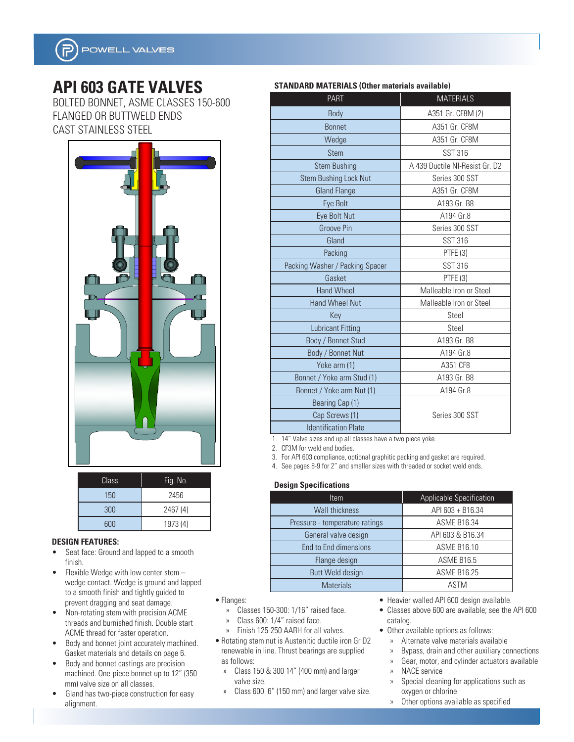

# **API 603 GATE VALVES**

BOLTED BONNET, ASME CLASSES 150-600 FLANGED OR BUTTWELD ENDS CAST STAINLESS STEEL



| Class | Fig. No. |
|-------|----------|
| 150   | 2456     |
| 300   | 2467 (4) |
| 600   | 1973 (4) |

#### **DESIGN FEATURES:**

- Seat face: Ground and lapped to a smooth finish.
- Flexible Wedge with low center stem wedge contact. Wedge is ground and lapped to a smooth finish and tightly guided to prevent dragging and seat damage.
- Non-rotating stem with precision ACME threads and burnished finish. Double start ACME thread for faster operation.
- Body and bonnet joint accurately machined. Gasket materials and details on page 6.
- Body and bonnet castings are precision machined. One-piece bonnet up to 12" (350 mm) valve size on all classes.
- Gland has two-piece construction for easy alignment.

| STANDARD MATERIALS (Other materials available) |  |  |  |  |
|------------------------------------------------|--|--|--|--|
|------------------------------------------------|--|--|--|--|

| <b>PART</b>                                                  | <b>MATERIALS</b>               |
|--------------------------------------------------------------|--------------------------------|
| Body                                                         | A351 Gr. CF8M (2)              |
| <b>Bonnet</b>                                                | A351 Gr. CF8M                  |
| Wedge                                                        | A351 Gr. CF8M                  |
| <b>Stem</b>                                                  | <b>SST 316</b>                 |
| <b>Stem Bushing</b>                                          | A 439 Ductile NI-Resist Gr. D2 |
| <b>Stem Bushing Lock Nut</b>                                 | Series 300 SST                 |
| <b>Gland Flange</b>                                          | A351 Gr. CF8M                  |
| Eye Bolt                                                     | A193 Gr. B8                    |
| Eye Bolt Nut                                                 | A194 Gr.8                      |
| <b>Groove Pin</b>                                            | Series 300 SST                 |
| Gland                                                        | <b>SST 316</b>                 |
| Packing                                                      | PTFE (3)                       |
| Packing Washer / Packing Spacer                              | <b>SST 316</b>                 |
| Gasket                                                       | PTFE (3)                       |
| <b>Hand Wheel</b>                                            | Malleable Iron or Steel        |
| <b>Hand Wheel Nut</b>                                        | Malleable Iron or Steel        |
| Key                                                          | Steel                          |
| <b>Lubricant Fitting</b>                                     | Steel                          |
| Body / Bonnet Stud                                           | A193 Gr. B8                    |
| Body / Bonnet Nut                                            | A194 Gr.8                      |
| Yoke arm (1)                                                 | A351 CF8                       |
| Bonnet / Yoke arm Stud (1)                                   | A193 Gr. B8                    |
| Bonnet / Yoke arm Nut (1)                                    | A194 Gr.8                      |
| Bearing Cap (1)                                              |                                |
| Cap Screws (1)                                               | Series 300 SST                 |
| <b>Identification Plate</b>                                  |                                |
| 1. 14" Valve sizes and up all classes have a two piece yoke. |                                |

2. CF3M for weld end bodies.

3. For API 603 compliance, optional graphitic packing and gasket are required.

4. See pages 8-9 for 2" and smaller sizes with threaded or socket weld ends.

#### **Design Specifications**

| <b>Item</b>                    | Applicable Specification |
|--------------------------------|--------------------------|
| <b>Wall thickness</b>          | API 603 + B16.34         |
| Pressure - temperature ratings | <b>ASME B16.34</b>       |
| General valve design           | API 603 & B16.34         |
| End to End dimensions          | <b>ASME B16.10</b>       |
| Flange design                  | <b>ASME B16.5</b>        |
| Butt Weld design               | <b>ASME B16.25</b>       |
| <b>Materials</b>               | ASTM                     |

- Flanges:
	- » Classes 150-300: 1/16" raised face.
	- » Class 600: 1/4" raised face.
	- » Finish 125-250 AARH for all valves.
- Rotating stem nut is Austenitic ductile iron Gr D2 renewable in line. Thrust bearings are supplied as follows:
	- » Class 150 & 300 14" (400 mm) and larger valve size.
	- » Class 600 6" (150 mm) and larger valve size.
- Heavier walled API 600 design available.
- Classes above 600 are available; see the API 600 catalog.
- Other available options as follows:
	- » Alternate valve materials available
	- » Bypass, drain and other auxiliary connections
	- » Gear, motor, and cylinder actuators available
	- » NACE service
	- » Special cleaning for applications such as oxygen or chlorine
	- » Other options available as specified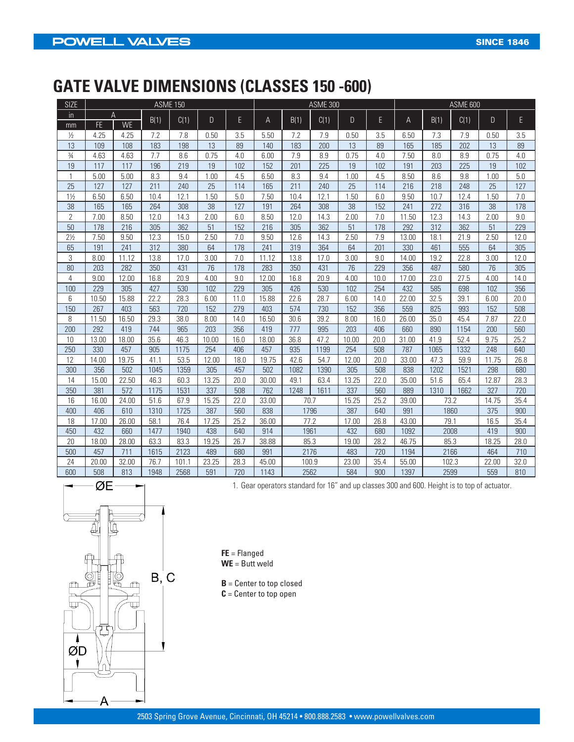# **GATE VALVE DIMENSIONS (CLASSES 150 -600)**

| <b>SIZE</b>    | <b>ASME 150</b> |           |      |       |              |      | <b>ASME 300</b> |       |      |       |      | <b>ASME 600</b> |       |      |       |      |
|----------------|-----------------|-----------|------|-------|--------------|------|-----------------|-------|------|-------|------|-----------------|-------|------|-------|------|
| in             | A               |           |      |       |              |      |                 |       |      |       |      |                 |       |      |       |      |
| mm             | FE.             | <b>WE</b> | B(1) | C(1)  | $\mathsf{D}$ | E    | A               | B(1)  | C(1) | D.    | E    | Α               | B(1)  | C(1) | D.    | E    |
| $\frac{1}{2}$  | 4.25            | 4.25      | 7.2  | 7.8   | 0.50         | 3.5  | 5.50            | 7.2   | 7.9  | 0.50  | 3.5  | 6.50            | 7.3   | 7.9  | 0.50  | 3.5  |
| 13             | 109             | 108       | 183  | 198   | 13           | 89   | 140             | 183   | 200  | 13    | 89   | 165             | 185   | 202  | 13    | 89   |
| $\frac{3}{4}$  | 4.63            | 4.63      | 7.7  | 8.6   | 0.75         | 4.0  | 6.00            | 7.9   | 8.9  | 0.75  | 4.0  | 7.50            | 8.0   | 8.9  | 0.75  | 4.0  |
| 19             | 117             | 117       | 196  | 219   | 19           | 102  | 152             | 201   | 225  | 19    | 102  | 191             | 203   | 225  | 19    | 102  |
| $\mathbf{1}$   | 5.00            | 5.00      | 8.3  | 9.4   | 1.00         | 4.5  | 6.50            | 8.3   | 9.4  | 1.00  | 4.5  | 8.50            | 8.6   | 9.8  | 1.00  | 5.0  |
| 25             | 127             | 127       | 211  | 240   | 25           | 114  | 165             | 211   | 240  | 25    | 114  | 216             | 218   | 248  | 25    | 127  |
| $1\frac{1}{2}$ | 6.50            | 6.50      | 10.4 | 12.1  | 1.50         | 5.0  | 7.50            | 10.4  | 12.1 | 1.50  | 6.0  | 9.50            | 10.7  | 12.4 | 1.50  | 7.0  |
| 38             | 165             | 165       | 264  | 308   | 38           | 127  | 191             | 264   | 308  | 38    | 152  | 241             | 272   | 316  | 38    | 178  |
| $\mathbf{2}$   | 7.00            | 8.50      | 12.0 | 14.3  | 2.00         | 6.0  | 8.50            | 12.0  | 14.3 | 2.00  | 7.0  | 11.50           | 12.3  | 14.3 | 2.00  | 9.0  |
| 50             | 178             | 216       | 305  | 362   | 51           | 152  | 216             | 305   | 362  | 51    | 178  | 292             | 312   | 362  | 51    | 229  |
| $2\frac{1}{2}$ | 7.50            | 9.50      | 12.3 | 15.0  | 2.50         | 7.0  | 9.50            | 12.6  | 14.3 | 2.50  | 7.9  | 13.00           | 18.1  | 21.9 | 2.50  | 12.0 |
| 65             | 191             | 241       | 312  | 380   | 64           | 178  | 241             | 319   | 364  | 64    | 201  | 330             | 461   | 555  | 64    | 305  |
| 3              | 8.00            | 11.12     | 13.8 | 17.0  | 3.00         | 7.0  | 11.12           | 13.8  | 17.0 | 3.00  | 9.0  | 14.00           | 19.2  | 22.8 | 3.00  | 12.0 |
| 80             | 203             | 282       | 350  | 431   | 76           | 178  | 283             | 350   | 431  | 76    | 229  | 356             | 487   | 580  | 76    | 305  |
| 4              | 9.00            | 12.00     | 16.8 | 20.9  | 4.00         | 9.0  | 12.00           | 16.8  | 20.9 | 4.00  | 10.0 | 17.00           | 23.0  | 27.5 | 4.00  | 14.0 |
| 100            | 229             | 305       | 427  | 530   | 102          | 229  | 305             | 426   | 530  | 102   | 254  | 432             | 585   | 698  | 102   | 356  |
| 6              | 10.50           | 15.88     | 22.2 | 28.3  | 6.00         | 11.0 | 15.88           | 22.6  | 28.7 | 6.00  | 14.0 | 22.00           | 32.5  | 39.1 | 6.00  | 20.0 |
| 150            | 267             | 403       | 563  | 720   | 152          | 279  | 403             | 574   | 730  | 152   | 356  | 559             | 825   | 993  | 152   | 508  |
| 8              | 11.50           | 16.50     | 29.3 | 38.0  | 8.00         | 14.0 | 16.50           | 30.6  | 39.2 | 8.00  | 16.0 | 26.00           | 35.0  | 45.4 | 7.87  | 22.0 |
| 200            | 292             | 419       | 744  | 965   | 203          | 356  | 419             | 777   | 995  | 203   | 406  | 660             | 890   | 1154 | 200   | 560  |
| 10             | 13.00           | 18.00     | 35.6 | 46.3  | 10.00        | 16.0 | 18.00           | 36.8  | 47.2 | 10.00 | 20.0 | 31.00           | 41.9  | 52.4 | 9.75  | 25.2 |
| 250            | 330             | 457       | 905  | 1175  | 254          | 406  | 457             | 935   | 1199 | 254   | 508  | 787             | 1065  | 1332 | 248   | 640  |
| 12             | 14.00           | 19.75     | 41.1 | 53.5  | 12.00        | 18.0 | 19.75           | 42.6  | 54.7 | 12.00 | 20.0 | 33.00           | 47.3  | 59.9 | 11.75 | 26.8 |
| 300            | 356             | 502       | 1045 | 1359  | 305          | 457  | 502             | 1082  | 1390 | 305   | 508  | 838             | 1202  | 1521 | 298   | 680  |
| 14             | 15.00           | 22.50     | 46.3 | 60.3  | 13.25        | 20.0 | 30.00           | 49.1  | 63.4 | 13.25 | 22.0 | 35.00           | 51.6  | 65.4 | 12.87 | 28.3 |
| 350            | 381             | 572       | 1175 | 1531  | 337          | 508  | 762             | 1248  | 1611 | 337   | 560  | 889             | 1310  | 1662 | 327   | 720  |
| 16             | 16.00           | 24.00     | 51.6 | 67.9  | 15.25        | 22.0 | 33.00           | 70.7  |      | 15.25 | 25.2 | 39.00           | 73.2  |      | 14.75 | 35.4 |
| 400            | 406             | 610       | 1310 | 1725  | 387          | 560  | 838             | 1796  |      | 387   | 640  | 991             | 1860  |      | 375   | 900  |
| 18             | 17.00           | 26.00     | 58.1 | 76.4  | 17.25        | 25.2 | 36.00           | 77.2  |      | 17.00 | 26.8 | 43.00           | 79.1  |      | 16.5  | 35.4 |
| 450            | 432             | 660       | 1477 | 1940  | 438          | 640  | 914             | 1961  |      | 432   | 680  | 1092            | 2008  |      | 419   | 900  |
| 20             | 18.00           | 28.00     | 63.3 | 83.3  | 19.25        | 26.7 | 38.88           | 85.3  |      | 19.00 | 28.2 | 46.75           | 85.3  |      | 18.25 | 28.0 |
| 500            | 457             | 711       | 1615 | 2123  | 489          | 680  | 991             | 2176  |      | 483   | 720  | 1194            | 2166  |      | 464   | 710  |
| 24             | 20.00           | 32.00     | 76.7 | 101.1 | 23.25        | 28.3 | 45.00           | 100.9 |      | 23.00 | 35.4 | 55.00           | 102.3 |      | 22.00 | 32.0 |
| 600            | 508             | 813       | 1948 | 2568  | 591          | 720  | 1143            | 2562  |      | 584   | 900  | 1397            | 2599  |      | 559   | 810  |



1. Gear operators standard for 16" and up classes 300 and 600. Height is to top of actuator.

**FE** = Flanged **WE** = Butt weld

**B** = Center to top closed **C** = Center to top open